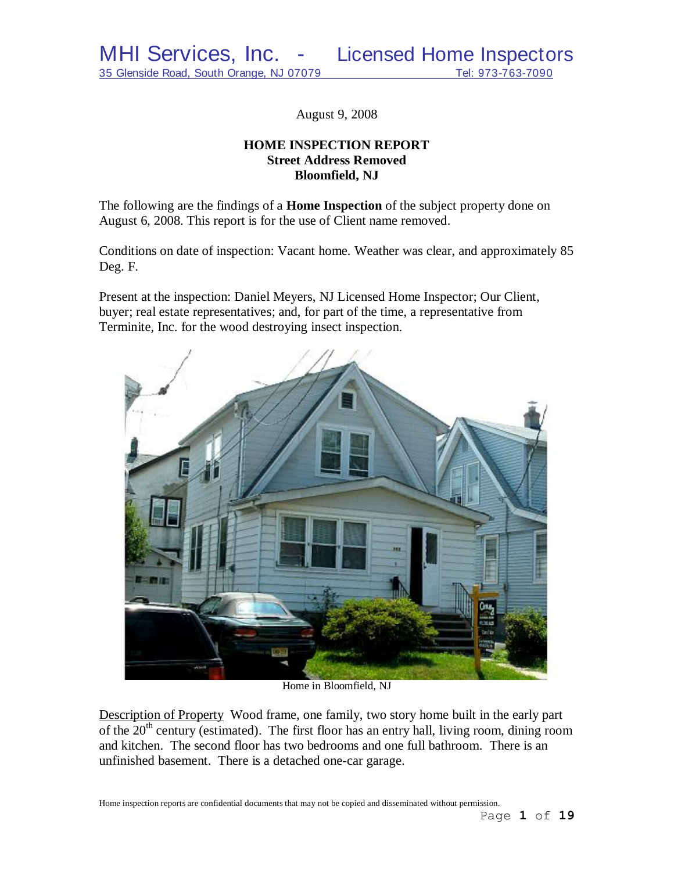August 9, 2008

# **HOME INSPECTION REPORT Street Address Removed Bloomfield, NJ**

The following are the findings of a **Home Inspection** of the subject property done on August 6, 2008. This report is for the use of Client name removed.

Conditions on date of inspection: Vacant home. Weather was clear, and approximately 85 Deg. F.

Present at the inspection: Daniel Meyers, NJ Licensed Home Inspector; Our Client, buyer; real estate representatives; and, for part of the time, a representative from Terminite, Inc. for the wood destroying insect inspection.



Home in Bloomfield, NJ

Description of Property Wood frame, one family, two story home built in the early part of the  $20<sup>th</sup>$  century (estimated). The first floor has an entry hall, living room, dining room and kitchen. The second floor has two bedrooms and one full bathroom. There is an unfinished basement. There is a detached one-car garage.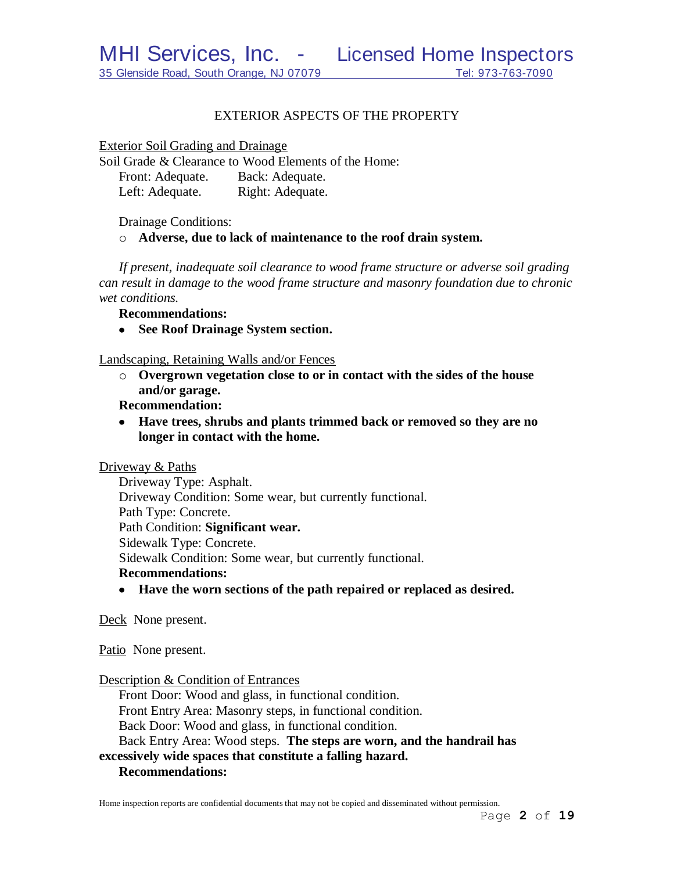# EXTERIOR ASPECTS OF THE PROPERTY

Exterior Soil Grading and Drainage

Soil Grade & Clearance to Wood Elements of the Home: Front: Adequate. Back: Adequate. Left: Adequate. Right: Adequate.

Drainage Conditions:

o **Adverse, due to lack of maintenance to the roof drain system.**

*If present, inadequate soil clearance to wood frame structure or adverse soil grading can result in damage to the wood frame structure and masonry foundation due to chronic wet conditions.*

**Recommendations:**

**See Roof Drainage System section.**

Landscaping, Retaining Walls and/or Fences

o **Overgrown vegetation close to or in contact with the sides of the house and/or garage.**

**Recommendation:**

**Have trees, shrubs and plants trimmed back or removed so they are no longer in contact with the home.**

Driveway & Paths

Driveway Type: Asphalt. Driveway Condition: Some wear, but currently functional. Path Type: Concrete. Path Condition: **Significant wear.** Sidewalk Type: Concrete. Sidewalk Condition: Some wear, but currently functional. **Recommendations:**

**Have the worn sections of the path repaired or replaced as desired.**

Deck None present.

Patio None present.

Description & Condition of Entrances

Front Door: Wood and glass, in functional condition. Front Entry Area: Masonry steps, in functional condition. Back Door: Wood and glass, in functional condition. Back Entry Area: Wood steps. **The steps are worn, and the handrail has excessively wide spaces that constitute a falling hazard.**

# **Recommendations:**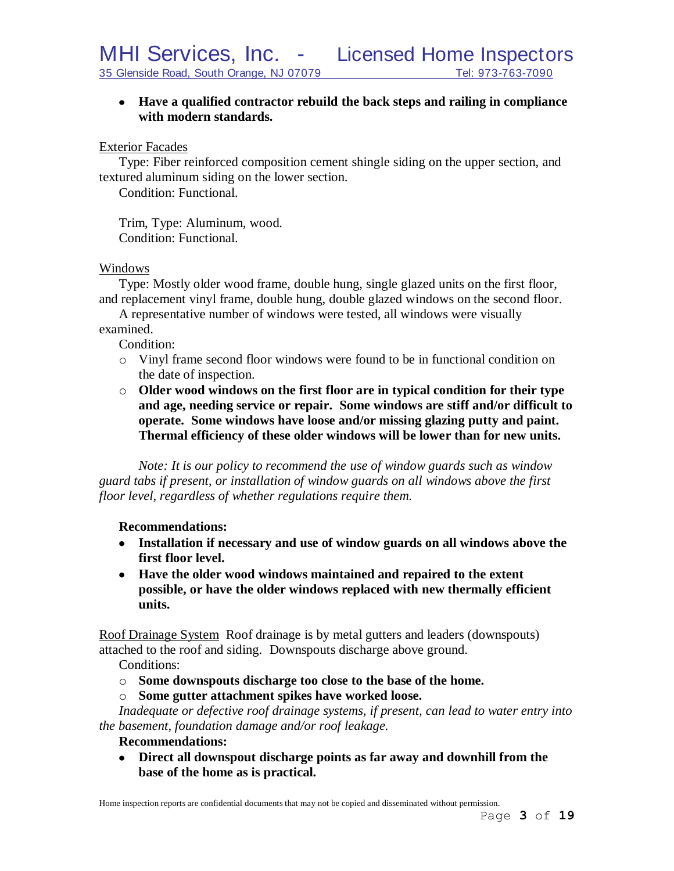# **Have a qualified contractor rebuild the back steps and railing in compliance with modern standards.**

### Exterior Facades

Type: Fiber reinforced composition cement shingle siding on the upper section, and textured aluminum siding on the lower section.

Condition: Functional.

Trim, Type: Aluminum, wood. Condition: Functional.

### Windows

Type: Mostly older wood frame, double hung, single glazed units on the first floor, and replacement vinyl frame, double hung, double glazed windows on the second floor.

A representative number of windows were tested, all windows were visually examined.

Condition:

- o Vinyl frame second floor windows were found to be in functional condition on the date of inspection.
- o **Older wood windows on the first floor are in typical condition for their type and age, needing service or repair. Some windows are stiff and/or difficult to operate. Some windows have loose and/or missing glazing putty and paint. Thermal efficiency of these older windows will be lower than for new units.**

*Note: It is our policy to recommend the use of window guards such as window guard tabs if present, or installation of window guards on all windows above the first floor level, regardless of whether regulations require them.*

# **Recommendations:**

- **Installation if necessary and use of window guards on all windows above the first floor level.**
- **Have the older wood windows maintained and repaired to the extent possible, or have the older windows replaced with new thermally efficient units.**

Roof Drainage System Roof drainage is by metal gutters and leaders (downspouts) attached to the roof and siding. Downspouts discharge above ground.

Conditions:

- o **Some downspouts discharge too close to the base of the home.**
- o **Some gutter attachment spikes have worked loose.**

*Inadequate or defective roof drainage systems, if present, can lead to water entry into the basement, foundation damage and/or roof leakage.*

# **Recommendations:**

**Direct all downspout discharge points as far away and downhill from the base of the home as is practical.**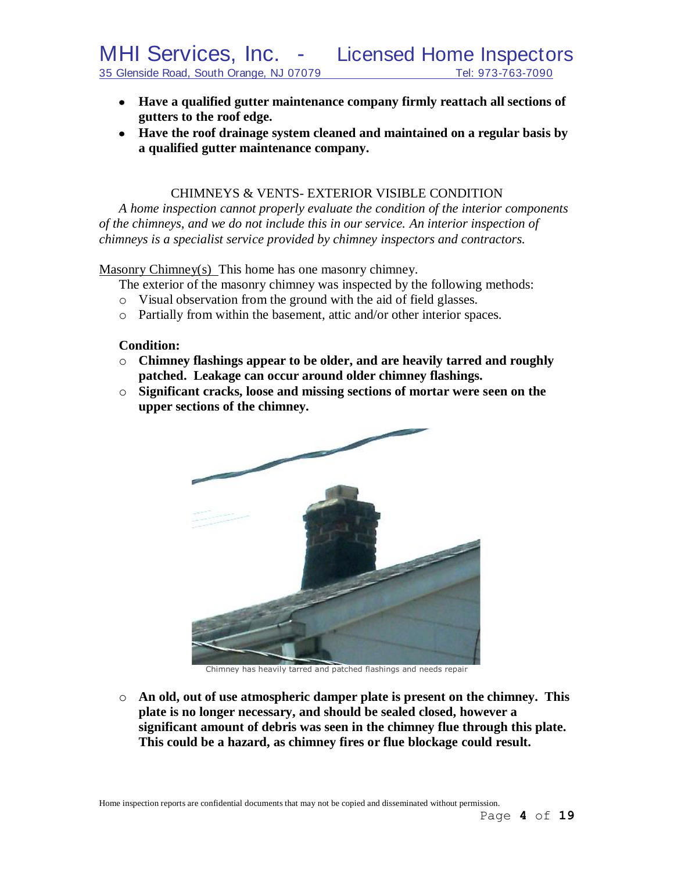- **Have a qualified gutter maintenance company firmly reattach all sections of gutters to the roof edge.**
- **Have the roof drainage system cleaned and maintained on a regular basis by a qualified gutter maintenance company.**

# CHIMNEYS & VENTS- EXTERIOR VISIBLE CONDITION

*A home inspection cannot properly evaluate the condition of the interior components of the chimneys, and we do not include this in our service. An interior inspection of chimneys is a specialist service provided by chimney inspectors and contractors.*

Masonry Chimney(s) This home has one masonry chimney.

- The exterior of the masonry chimney was inspected by the following methods:
- o Visual observation from the ground with the aid of field glasses.
- o Partially from within the basement, attic and/or other interior spaces.

# **Condition:**

- o **Chimney flashings appear to be older, and are heavily tarred and roughly patched. Leakage can occur around older chimney flashings.**
- o **Significant cracks, loose and missing sections of mortar were seen on the upper sections of the chimney.**



Chimney has heavily tarred and patched flashings and needs repair

o **An old, out of use atmospheric damper plate is present on the chimney. This plate is no longer necessary, and should be sealed closed, however a significant amount of debris was seen in the chimney flue through this plate. This could be a hazard, as chimney fires or flue blockage could result.**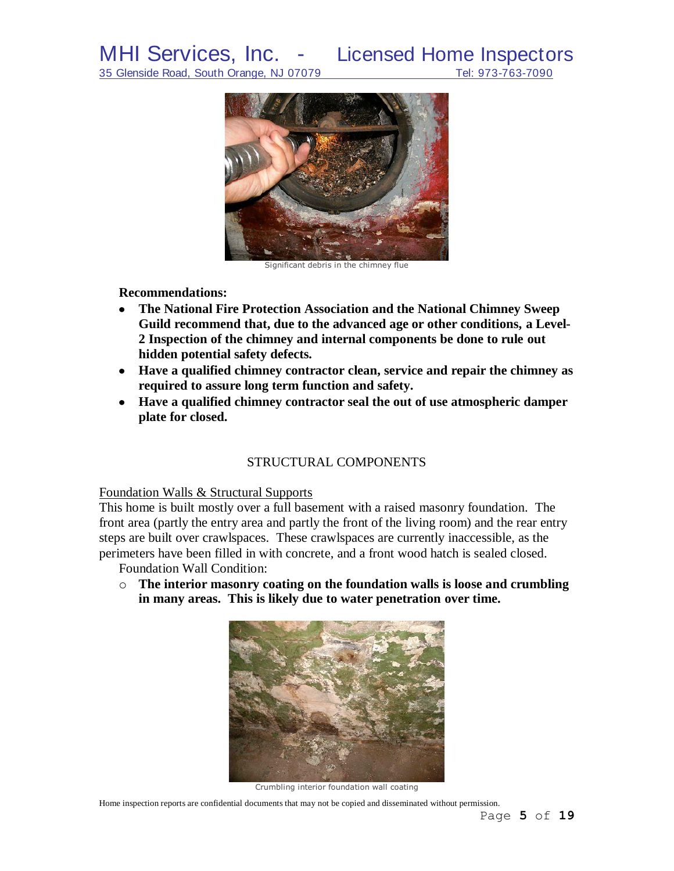

Significant debris in the chimney flue

#### **Recommendations:**

- **The National Fire Protection Association and the National Chimney Sweep**   $\bullet$ **Guild recommend that, due to the advanced age or other conditions, a Level-2 Inspection of the chimney and internal components be done to rule out hidden potential safety defects***.*
- **Have a qualified chimney contractor clean, service and repair the chimney as required to assure long term function and safety.**
- **Have a qualified chimney contractor seal the out of use atmospheric damper plate for closed.**

# STRUCTURAL COMPONENTS

### Foundation Walls & Structural Supports

This home is built mostly over a full basement with a raised masonry foundation. The front area (partly the entry area and partly the front of the living room) and the rear entry steps are built over crawlspaces. These crawlspaces are currently inaccessible, as the perimeters have been filled in with concrete, and a front wood hatch is sealed closed.

Foundation Wall Condition:

o **The interior masonry coating on the foundation walls is loose and crumbling in many areas. This is likely due to water penetration over time.**



Crumbling interior foundation wall coating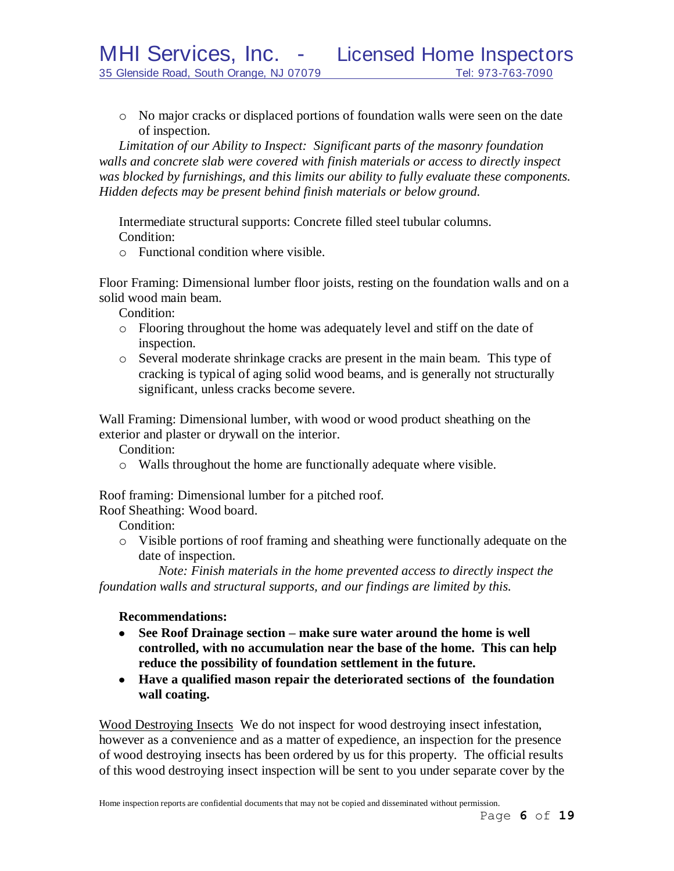o No major cracks or displaced portions of foundation walls were seen on the date of inspection.

*Limitation of our Ability to Inspect: Significant parts of the masonry foundation walls and concrete slab were covered with finish materials or access to directly inspect was blocked by furnishings, and this limits our ability to fully evaluate these components. Hidden defects may be present behind finish materials or below ground.*

Intermediate structural supports: Concrete filled steel tubular columns. Condition:

o Functional condition where visible.

Floor Framing: Dimensional lumber floor joists, resting on the foundation walls and on a solid wood main beam.

Condition:

- o Flooring throughout the home was adequately level and stiff on the date of inspection.
- o Several moderate shrinkage cracks are present in the main beam. This type of cracking is typical of aging solid wood beams, and is generally not structurally significant, unless cracks become severe.

Wall Framing: Dimensional lumber, with wood or wood product sheathing on the exterior and plaster or drywall on the interior.

Condition:

o Walls throughout the home are functionally adequate where visible.

Roof framing: Dimensional lumber for a pitched roof.

Roof Sheathing: Wood board.

Condition:

o Visible portions of roof framing and sheathing were functionally adequate on the date of inspection.

*Note: Finish materials in the home prevented access to directly inspect the foundation walls and structural supports, and our findings are limited by this*.

# **Recommendations:**

- **See Roof Drainage section – make sure water around the home is well controlled, with no accumulation near the base of the home. This can help reduce the possibility of foundation settlement in the future.**
- **Have a qualified mason repair the deteriorated sections of the foundation wall coating.**

Wood Destroying Insects We do not inspect for wood destroying insect infestation, however as a convenience and as a matter of expedience, an inspection for the presence of wood destroying insects has been ordered by us for this property. The official results of this wood destroying insect inspection will be sent to you under separate cover by the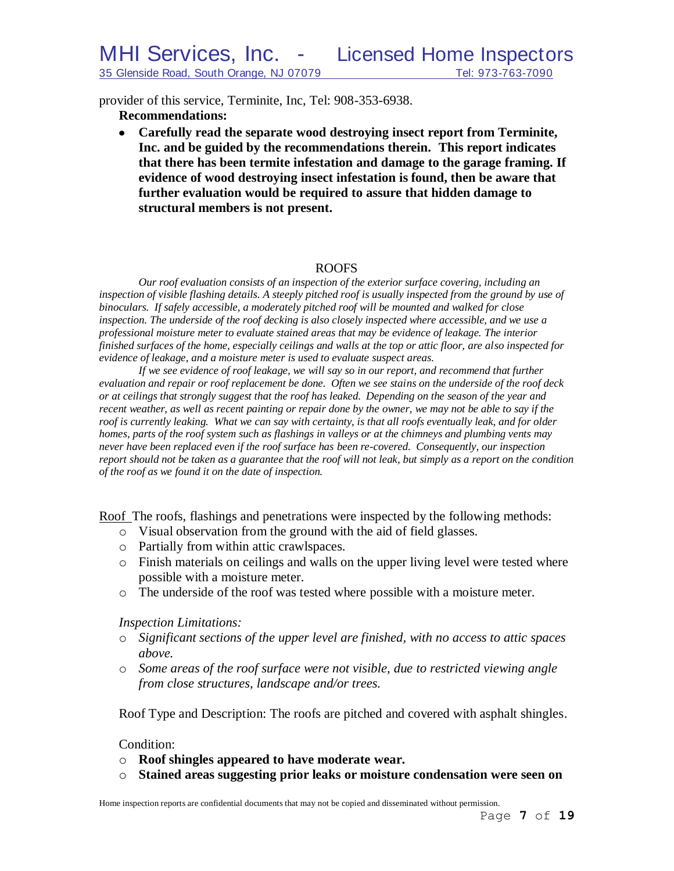provider of this service, Terminite, Inc, Tel: 908-353-6938.

**Recommendations:**

**Carefully read the separate wood destroying insect report from Terminite, Inc. and be guided by the recommendations therein. This report indicates that there has been termite infestation and damage to the garage framing. If evidence of wood destroying insect infestation is found, then be aware that further evaluation would be required to assure that hidden damage to structural members is not present.**

# ROOFS

*Our roof evaluation consists of an inspection of the exterior surface covering, including an*  inspection of visible flashing details. A steeply pitched roof is usually inspected from the ground by use of *binoculars. If safely accessible, a moderately pitched roof will be mounted and walked for close inspection. The underside of the roof decking is also closely inspected where accessible, and we use a professional moisture meter to evaluate stained areas that may be evidence of leakage. The interior finished surfaces of the home, especially ceilings and walls at the top or attic floor, are also inspected for evidence of leakage, and a moisture meter is used to evaluate suspect areas.*

*If we see evidence of roof leakage, we will say so in our report, and recommend that further evaluation and repair or roof replacement be done. Often we see stains on the underside of the roof deck or at ceilings that strongly suggest that the roof has leaked. Depending on the season of the year and recent weather, as well as recent painting or repair done by the owner, we may not be able to say if the roof is currently leaking. What we can say with certainty, is that all roofs eventually leak, and for older homes, parts of the roof system such as flashings in valleys or at the chimneys and plumbing vents may never have been replaced even if the roof surface has been re-covered. Consequently, our inspection report should not be taken as a guarantee that the roof will not leak, but simply as a report on the condition of the roof as we found it on the date of inspection.*

Roof The roofs, flashings and penetrations were inspected by the following methods:

- o Visual observation from the ground with the aid of field glasses.
- o Partially from within attic crawlspaces.
- o Finish materials on ceilings and walls on the upper living level were tested where possible with a moisture meter.
- o The underside of the roof was tested where possible with a moisture meter.

*Inspection Limitations:*

- o *Significant sections of the upper level are finished, with no access to attic spaces above.*
- o *Some areas of the roof surface were not visible, due to restricted viewing angle from close structures, landscape and/or trees.*

Roof Type and Description: The roofs are pitched and covered with asphalt shingles.

Condition:

- o **Roof shingles appeared to have moderate wear.**
- o **Stained areas suggesting prior leaks or moisture condensation were seen on**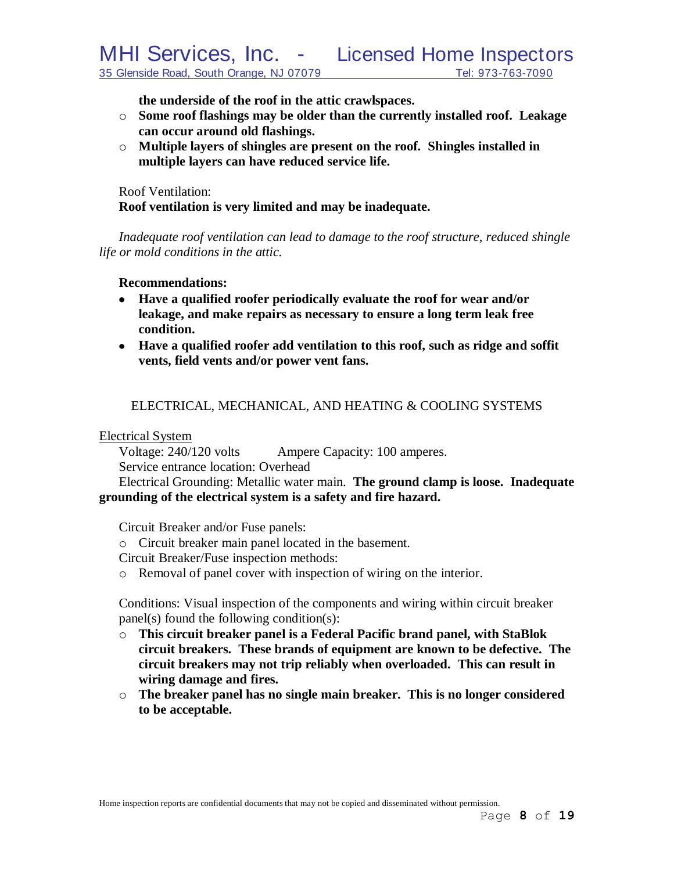**the underside of the roof in the attic crawlspaces.**

- o **Some roof flashings may be older than the currently installed roof. Leakage can occur around old flashings.**
- o **Multiple layers of shingles are present on the roof. Shingles installed in multiple layers can have reduced service life.**

Roof Ventilation: **Roof ventilation is very limited and may be inadequate.**

*Inadequate roof ventilation can lead to damage to the roof structure, reduced shingle life or mold conditions in the attic.*

### **Recommendations:**

- **Have a qualified roofer periodically evaluate the roof for wear and/or leakage, and make repairs as necessary to ensure a long term leak free condition.**
- **Have a qualified roofer add ventilation to this roof, such as ridge and soffit vents, field vents and/or power vent fans.**

# ELECTRICAL, MECHANICAL, AND HEATING & COOLING SYSTEMS

Electrical System

Voltage: 240/120 volts Ampere Capacity: 100 amperes. Service entrance location: Overhead

Electrical Grounding: Metallic water main. **The ground clamp is loose. Inadequate grounding of the electrical system is a safety and fire hazard.**

Circuit Breaker and/or Fuse panels:

o Circuit breaker main panel located in the basement.

Circuit Breaker/Fuse inspection methods:

o Removal of panel cover with inspection of wiring on the interior.

Conditions: Visual inspection of the components and wiring within circuit breaker panel(s) found the following condition(s):

- o **This circuit breaker panel is a Federal Pacific brand panel, with StaBlok circuit breakers. These brands of equipment are known to be defective. The circuit breakers may not trip reliably when overloaded. This can result in wiring damage and fires.**
- o **The breaker panel has no single main breaker. This is no longer considered to be acceptable.**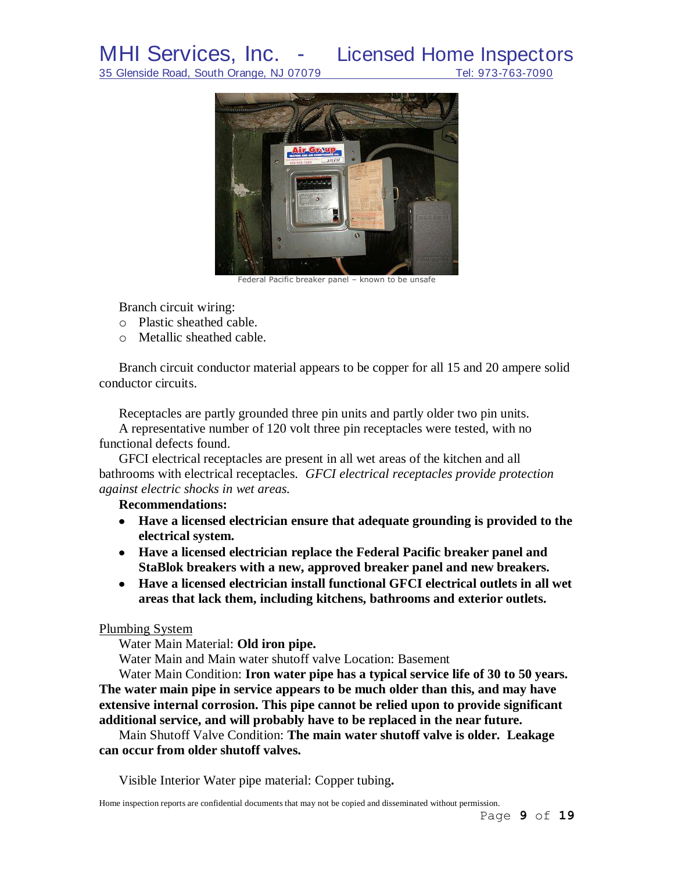

Federal Pacific breaker panel – known to be unsafe

Branch circuit wiring:

- o Plastic sheathed cable.
- o Metallic sheathed cable.

Branch circuit conductor material appears to be copper for all 15 and 20 ampere solid conductor circuits.

Receptacles are partly grounded three pin units and partly older two pin units. A representative number of 120 volt three pin receptacles were tested, with no functional defects found.

GFCI electrical receptacles are present in all wet areas of the kitchen and all bathrooms with electrical receptacles. *GFCI electrical receptacles provide protection against electric shocks in wet areas.*

# **Recommendations:**

- **Have a licensed electrician ensure that adequate grounding is provided to the electrical system.**
- **Have a licensed electrician replace the Federal Pacific breaker panel and StaBlok breakers with a new, approved breaker panel and new breakers.**
- **Have a licensed electrician install functional GFCI electrical outlets in all wet areas that lack them, including kitchens, bathrooms and exterior outlets.**

# Plumbing System

Water Main Material: **Old iron pipe.**

Water Main and Main water shutoff valve Location: Basement

Water Main Condition: **Iron water pipe has a typical service life of 30 to 50 years. The water main pipe in service appears to be much older than this, and may have extensive internal corrosion. This pipe cannot be relied upon to provide significant additional service, and will probably have to be replaced in the near future.**

Main Shutoff Valve Condition: **The main water shutoff valve is older. Leakage can occur from older shutoff valves.**

Visible Interior Water pipe material: Copper tubing**.**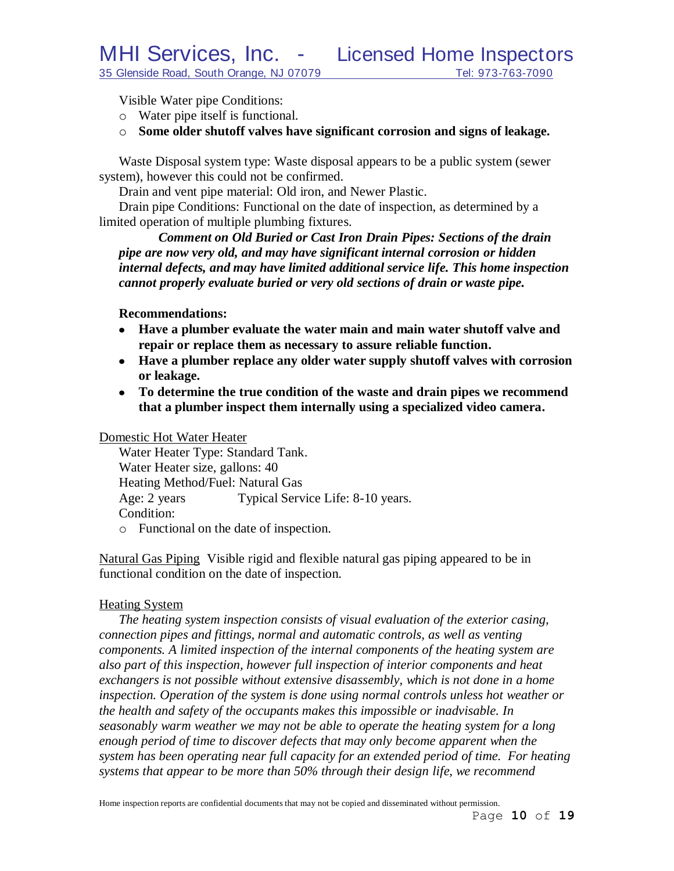Visible Water pipe Conditions:

- o Water pipe itself is functional.
- o **Some older shutoff valves have significant corrosion and signs of leakage.**

Waste Disposal system type: Waste disposal appears to be a public system (sewer system), however this could not be confirmed.

Drain and vent pipe material: Old iron, and Newer Plastic.

Drain pipe Conditions: Functional on the date of inspection, as determined by a limited operation of multiple plumbing fixtures.

*Comment on Old Buried or Cast Iron Drain Pipes: Sections of the drain pipe are now very old, and may have significant internal corrosion or hidden internal defects, and may have limited additional service life. This home inspection cannot properly evaluate buried or very old sections of drain or waste pipe.*

#### **Recommendations:**

- **Have a plumber evaluate the water main and main water shutoff valve and repair or replace them as necessary to assure reliable function.**
- **Have a plumber replace any older water supply shutoff valves with corrosion or leakage.**
- **To determine the true condition of the waste and drain pipes we recommend that a plumber inspect them internally using a specialized video camera.**

#### Domestic Hot Water Heater

Water Heater Type: Standard Tank. Water Heater size, gallons: 40 Heating Method/Fuel: Natural Gas Age: 2 years Typical Service Life: 8-10 years. Condition:

o Functional on the date of inspection.

Natural Gas Piping Visible rigid and flexible natural gas piping appeared to be in functional condition on the date of inspection.

#### Heating System

*The heating system inspection consists of visual evaluation of the exterior casing, connection pipes and fittings, normal and automatic controls, as well as venting components. A limited inspection of the internal components of the heating system are also part of this inspection, however full inspection of interior components and heat exchangers is not possible without extensive disassembly, which is not done in a home inspection. Operation of the system is done using normal controls unless hot weather or the health and safety of the occupants makes this impossible or inadvisable. In seasonably warm weather we may not be able to operate the heating system for a long enough period of time to discover defects that may only become apparent when the system has been operating near full capacity for an extended period of time. For heating systems that appear to be more than 50% through their design life, we recommend*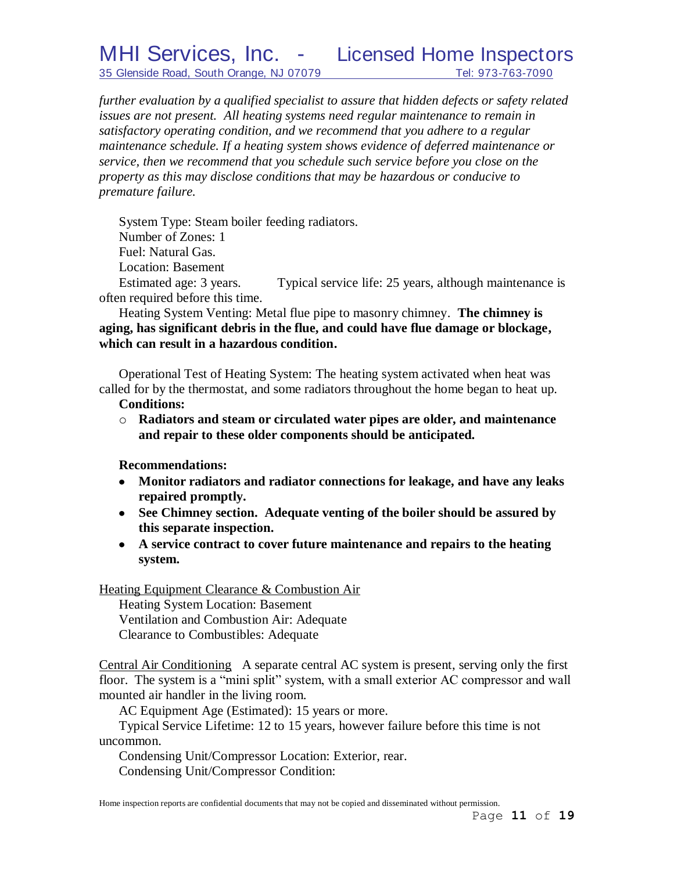35 Glenside Road, South Orange, NJ 07079 Tel: 973-763-7090

# MHI Services, Inc. - Licensed Home Inspectors

*further evaluation by a qualified specialist to assure that hidden defects or safety related issues are not present. All heating systems need regular maintenance to remain in satisfactory operating condition, and we recommend that you adhere to a regular maintenance schedule. If a heating system shows evidence of deferred maintenance or service, then we recommend that you schedule such service before you close on the property as this may disclose conditions that may be hazardous or conducive to premature failure.*

System Type: Steam boiler feeding radiators.

Number of Zones: 1

Fuel: Natural Gas.

Location: Basement

Estimated age: 3 years. Typical service life: 25 years, although maintenance is often required before this time.

Heating System Venting: Metal flue pipe to masonry chimney. **The chimney is aging, has significant debris in the flue, and could have flue damage or blockage, which can result in a hazardous condition.**

Operational Test of Heating System: The heating system activated when heat was called for by the thermostat, and some radiators throughout the home began to heat up.

# **Conditions:**

o **Radiators and steam or circulated water pipes are older, and maintenance and repair to these older components should be anticipated.**

**Recommendations:**

- **Monitor radiators and radiator connections for leakage, and have any leaks repaired promptly.**
- **See Chimney section. Adequate venting of the boiler should be assured by this separate inspection.**
- **A service contract to cover future maintenance and repairs to the heating system.**

Heating Equipment Clearance & Combustion Air Heating System Location: Basement

Ventilation and Combustion Air: Adequate Clearance to Combustibles: Adequate

Central Air Conditioning A separate central AC system is present, serving only the first floor. The system is a "mini split" system, with a small exterior AC compressor and wall mounted air handler in the living room.

AC Equipment Age (Estimated): 15 years or more.

Typical Service Lifetime: 12 to 15 years, however failure before this time is not uncommon.

Condensing Unit/Compressor Location: Exterior, rear. Condensing Unit/Compressor Condition: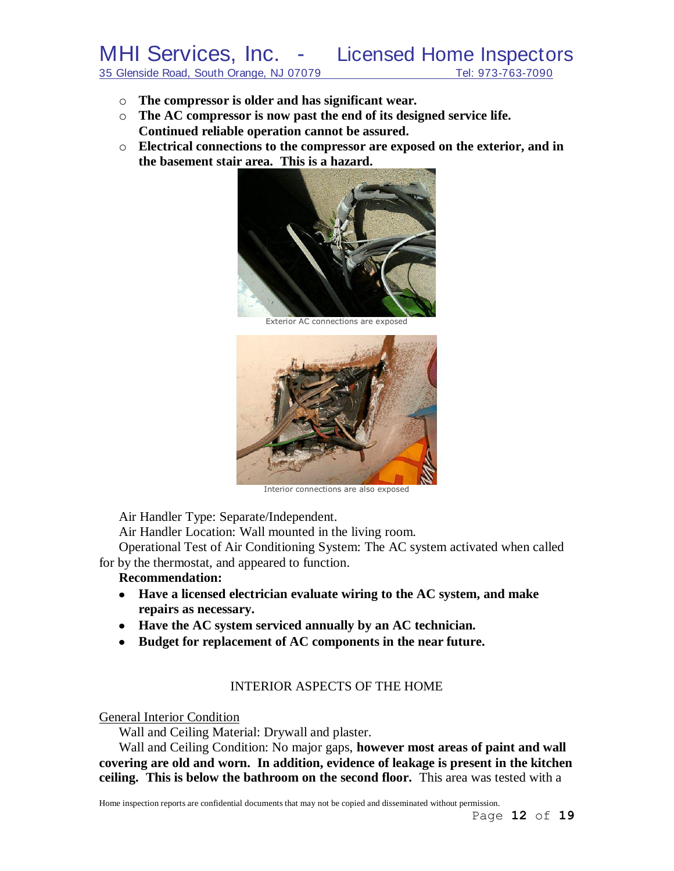- o **The compressor is older and has significant wear.**
- o **The AC compressor is now past the end of its designed service life. Continued reliable operation cannot be assured.**
- o **Electrical connections to the compressor are exposed on the exterior, and in the basement stair area. This is a hazard.**



Exterior AC connections are exposed



Interior connections are also exposed

Air Handler Type: Separate/Independent.

Air Handler Location: Wall mounted in the living room.

Operational Test of Air Conditioning System: The AC system activated when called for by the thermostat, and appeared to function.

#### **Recommendation:**

- **Have a licensed electrician evaluate wiring to the AC system, and make repairs as necessary.**
- **Have the AC system serviced annually by an AC technician.**
- **Budget for replacement of AC components in the near future.**

#### INTERIOR ASPECTS OF THE HOME

#### General Interior Condition

Wall and Ceiling Material: Drywall and plaster.

Wall and Ceiling Condition: No major gaps, **however most areas of paint and wall covering are old and worn. In addition, evidence of leakage is present in the kitchen ceiling. This is below the bathroom on the second floor.** This area was tested with a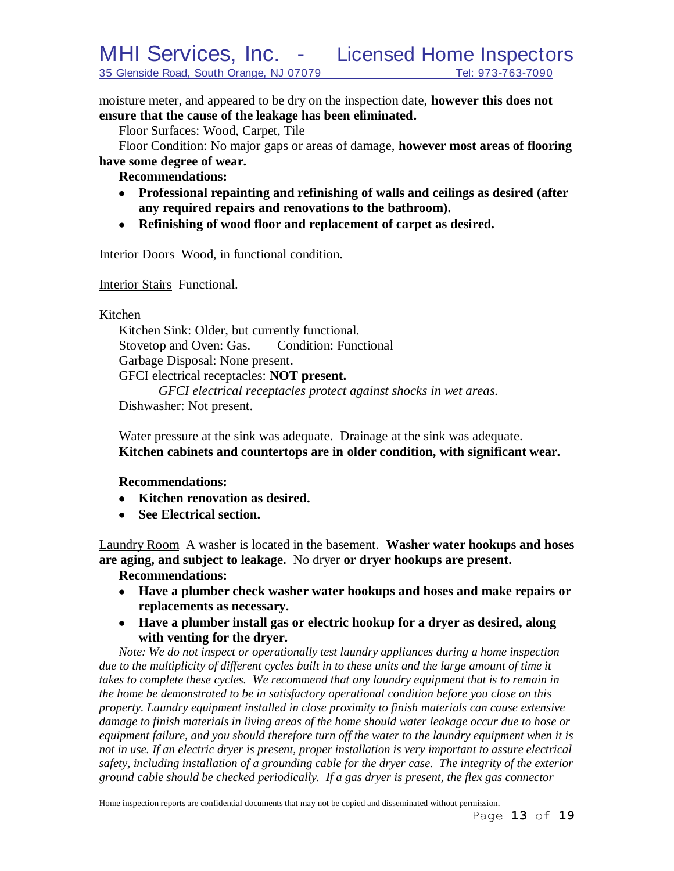moisture meter, and appeared to be dry on the inspection date, **however this does not ensure that the cause of the leakage has been eliminated.**

Floor Surfaces: Wood, Carpet, Tile

Floor Condition: No major gaps or areas of damage, **however most areas of flooring have some degree of wear.**

**Recommendations:**

- **Professional repainting and refinishing of walls and ceilings as desired (after any required repairs and renovations to the bathroom).**
- **Refinishing of wood floor and replacement of carpet as desired.**

Interior Doors Wood, in functional condition.

Interior Stairs Functional.

Kitchen

Kitchen Sink: Older, but currently functional. Stovetop and Oven: Gas. Condition: Functional Garbage Disposal: None present. GFCI electrical receptacles: **NOT present.** *GFCI electrical receptacles protect against shocks in wet areas.* Dishwasher: Not present.

Water pressure at the sink was adequate. Drainage at the sink was adequate. **Kitchen cabinets and countertops are in older condition, with significant wear.**

**Recommendations:**

- **Kitchen renovation as desired.**
- **See Electrical section.**

Laundry Room A washer is located in the basement. **Washer water hookups and hoses are aging, and subject to leakage.** No dryer **or dryer hookups are present.**

**Recommendations:**

- **Have a plumber check washer water hookups and hoses and make repairs or replacements as necessary.**
- **Have a plumber install gas or electric hookup for a dryer as desired, along with venting for the dryer.**

*Note: We do not inspect or operationally test laundry appliances during a home inspection*  due to the multiplicity of different cycles built in to these units and the large amount of time it *takes to complete these cycles. We recommend that any laundry equipment that is to remain in the home be demonstrated to be in satisfactory operational condition before you close on this property. Laundry equipment installed in close proximity to finish materials can cause extensive damage to finish materials in living areas of the home should water leakage occur due to hose or equipment failure, and you should therefore turn off the water to the laundry equipment when it is not in use. If an electric dryer is present, proper installation is very important to assure electrical safety, including installation of a grounding cable for the dryer case. The integrity of the exterior ground cable should be checked periodically. If a gas dryer is present, the flex gas connector*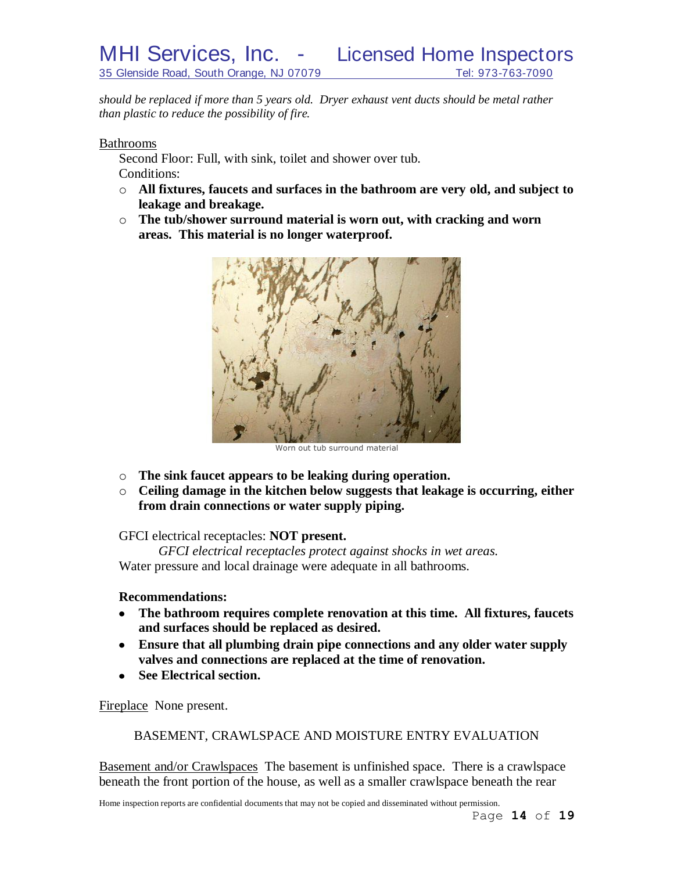MHI Services, Inc. - Licensed Home Inspectors 35 Glenside Road, South Orange, NJ 07079 Tel: 973-763-7090

*should be replaced if more than 5 years old. Dryer exhaust vent ducts should be metal rather than plastic to reduce the possibility of fire.*

Bathrooms

Second Floor: Full, with sink, toilet and shower over tub. Conditions:

- o **All fixtures, faucets and surfaces in the bathroom are very old, and subject to leakage and breakage.**
- o **The tub/shower surround material is worn out, with cracking and worn areas. This material is no longer waterproof.**



Worn out tub surround material

- o **The sink faucet appears to be leaking during operation.**
- o **Ceiling damage in the kitchen below suggests that leakage is occurring, either from drain connections or water supply piping.**

GFCI electrical receptacles: **NOT present.**

*GFCI electrical receptacles protect against shocks in wet areas.* Water pressure and local drainage were adequate in all bathrooms.

#### **Recommendations:**

- **The bathroom requires complete renovation at this time. All fixtures, faucets and surfaces should be replaced as desired.**
- **Ensure that all plumbing drain pipe connections and any older water supply valves and connections are replaced at the time of renovation.**
- **See Electrical section.**  $\bullet$

Fireplace None present.

BASEMENT, CRAWLSPACE AND MOISTURE ENTRY EVALUATION

Basement and/or Crawlspaces The basement is unfinished space. There is a crawlspace beneath the front portion of the house, as well as a smaller crawlspace beneath the rear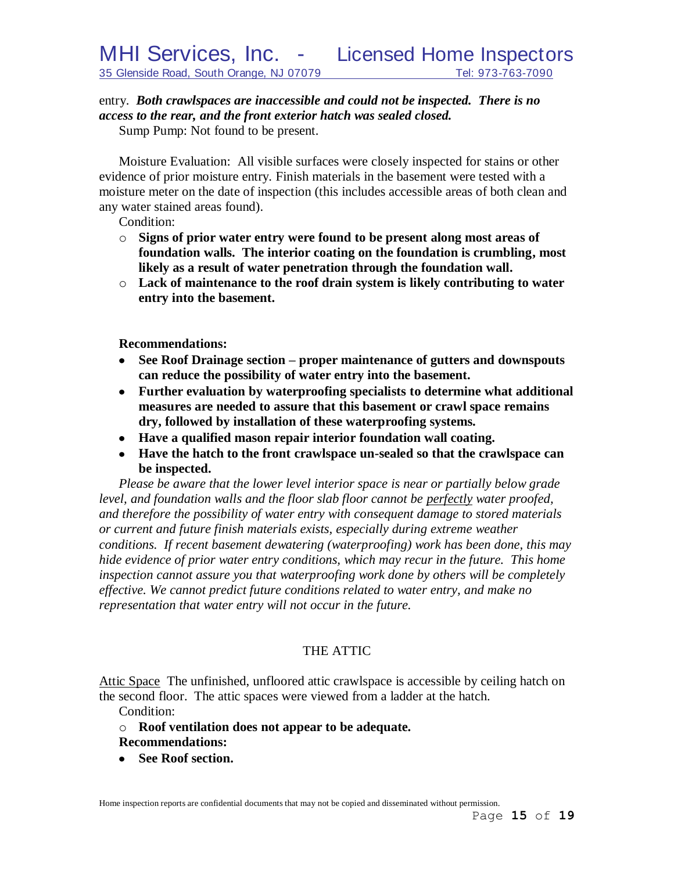# entry. *Both crawlspaces are inaccessible and could not be inspected. There is no access to the rear, and the front exterior hatch was sealed closed.*

Sump Pump: Not found to be present.

Moisture Evaluation: All visible surfaces were closely inspected for stains or other evidence of prior moisture entry. Finish materials in the basement were tested with a moisture meter on the date of inspection (this includes accessible areas of both clean and any water stained areas found).

Condition:

- o **Signs of prior water entry were found to be present along most areas of foundation walls. The interior coating on the foundation is crumbling, most likely as a result of water penetration through the foundation wall.**
- o **Lack of maintenance to the roof drain system is likely contributing to water entry into the basement.**

**Recommendations:**

- **See Roof Drainage section – proper maintenance of gutters and downspouts can reduce the possibility of water entry into the basement.**
- **Further evaluation by waterproofing specialists to determine what additional measures are needed to assure that this basement or crawl space remains dry, followed by installation of these waterproofing systems.**
- **Have a qualified mason repair interior foundation wall coating.**
- **Have the hatch to the front crawlspace un-sealed so that the crawlspace can be inspected.**

*Please be aware that the lower level interior space is near or partially below grade level, and foundation walls and the floor slab floor cannot be perfectly water proofed, and therefore the possibility of water entry with consequent damage to stored materials or current and future finish materials exists, especially during extreme weather conditions. If recent basement dewatering (waterproofing) work has been done, this may hide evidence of prior water entry conditions, which may recur in the future. This home inspection cannot assure you that waterproofing work done by others will be completely effective. We cannot predict future conditions related to water entry, and make no representation that water entry will not occur in the future.*

# THE ATTIC

Attic Space The unfinished, unfloored attic crawlspace is accessible by ceiling hatch on the second floor. The attic spaces were viewed from a ladder at the hatch.

Condition:

- o **Roof ventilation does not appear to be adequate.**
- **Recommendations:**
- **See Roof section.**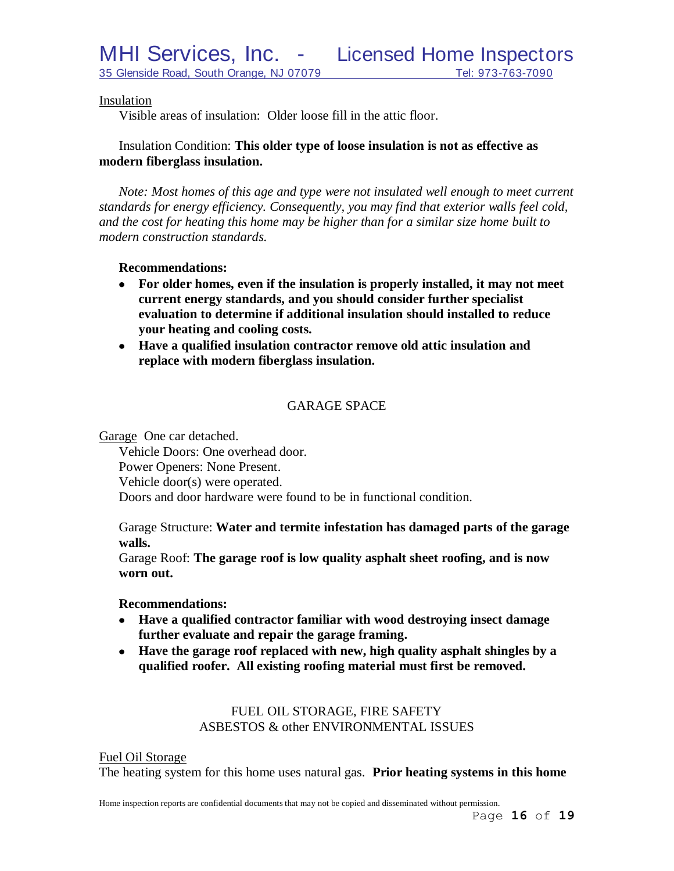MHI Services, Inc. - Licensed Home Inspectors

Visible areas of insulation: Older loose fill in the attic floor.

# Insulation Condition: **This older type of loose insulation is not as effective as modern fiberglass insulation.**

*Note: Most homes of this age and type were not insulated well enough to meet current standards for energy efficiency. Consequently, you may find that exterior walls feel cold, and the cost for heating this home may be higher than for a similar size home built to modern construction standards.*

### **Recommendations:**

- **For older homes, even if the insulation is properly installed, it may not meet current energy standards, and you should consider further specialist evaluation to determine if additional insulation should installed to reduce your heating and cooling costs.**
- **Have a qualified insulation contractor remove old attic insulation and replace with modern fiberglass insulation.**

# GARAGE SPACE

Garage One car detached.

Vehicle Doors: One overhead door. Power Openers: None Present. Vehicle door(s) were operated. Doors and door hardware were found to be in functional condition.

Garage Structure: **Water and termite infestation has damaged parts of the garage walls.**

Garage Roof: **The garage roof is low quality asphalt sheet roofing, and is now worn out.**

#### **Recommendations:**

- **Have a qualified contractor familiar with wood destroying insect damage further evaluate and repair the garage framing.**
- **Have the garage roof replaced with new, high quality asphalt shingles by a qualified roofer. All existing roofing material must first be removed.**

# FUEL OIL STORAGE, FIRE SAFETY ASBESTOS & other ENVIRONMENTAL ISSUES

Fuel Oil Storage

The heating system for this home uses natural gas. **Prior heating systems in this home**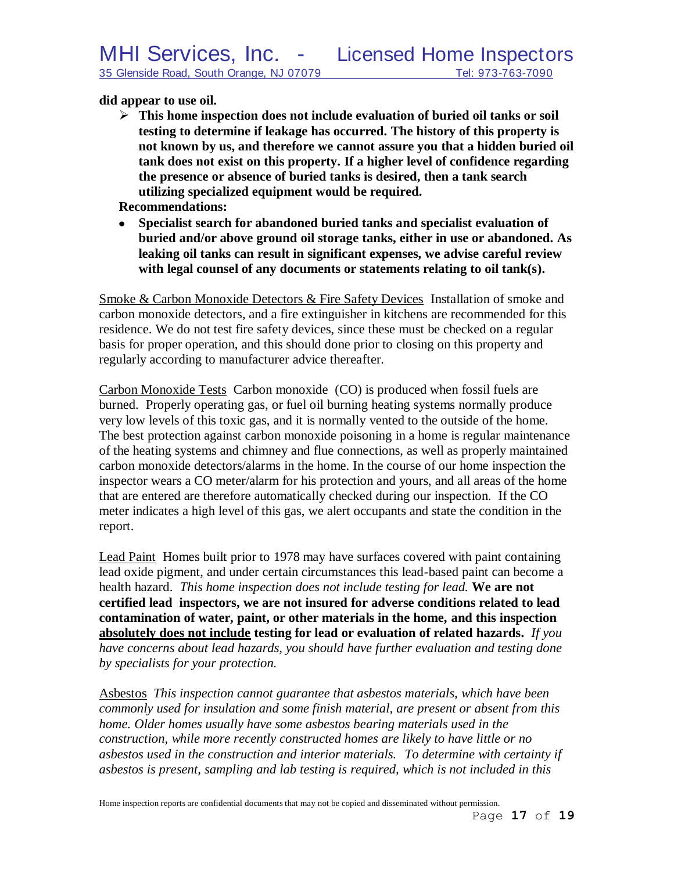# **did appear to use oil.**

 **This home inspection does not include evaluation of buried oil tanks or soil testing to determine if leakage has occurred. The history of this property is not known by us, and therefore we cannot assure you that a hidden buried oil tank does not exist on this property. If a higher level of confidence regarding the presence or absence of buried tanks is desired, then a tank search utilizing specialized equipment would be required.**

**Recommendations:**

**Specialist search for abandoned buried tanks and specialist evaluation of buried and/or above ground oil storage tanks, either in use or abandoned. As leaking oil tanks can result in significant expenses, we advise careful review with legal counsel of any documents or statements relating to oil tank(s).** 

Smoke & Carbon Monoxide Detectors & Fire Safety Devices Installation of smoke and carbon monoxide detectors, and a fire extinguisher in kitchens are recommended for this residence. We do not test fire safety devices, since these must be checked on a regular basis for proper operation, and this should done prior to closing on this property and regularly according to manufacturer advice thereafter.

Carbon Monoxide Tests Carbon monoxide (CO) is produced when fossil fuels are burned. Properly operating gas, or fuel oil burning heating systems normally produce very low levels of this toxic gas, and it is normally vented to the outside of the home. The best protection against carbon monoxide poisoning in a home is regular maintenance of the heating systems and chimney and flue connections, as well as properly maintained carbon monoxide detectors/alarms in the home. In the course of our home inspection the inspector wears a CO meter/alarm for his protection and yours, and all areas of the home that are entered are therefore automatically checked during our inspection. If the CO meter indicates a high level of this gas, we alert occupants and state the condition in the report.

Lead Paint Homes built prior to 1978 may have surfaces covered with paint containing lead oxide pigment, and under certain circumstances this lead-based paint can become a health hazard. *This home inspection does not include testing for lead.* **We are not certified lead inspectors, we are not insured for adverse conditions related to lead contamination of water, paint, or other materials in the home, and this inspection absolutely does not include testing for lead or evaluation of related hazards.** *If you have concerns about lead hazards, you should have further evaluation and testing done by specialists for your protection.*

Asbestos *This inspection cannot guarantee that asbestos materials, which have been commonly used for insulation and some finish material, are present or absent from this home. Older homes usually have some asbestos bearing materials used in the construction, while more recently constructed homes are likely to have little or no asbestos used in the construction and interior materials. To determine with certainty if asbestos is present, sampling and lab testing is required, which is not included in this*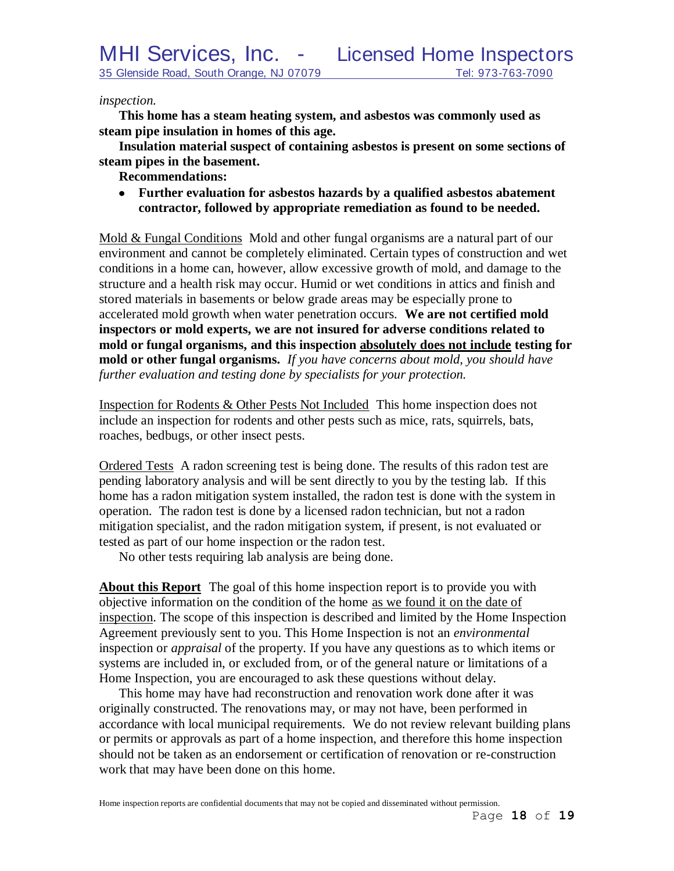*inspection.* 

**This home has a steam heating system, and asbestos was commonly used as steam pipe insulation in homes of this age.**

**Insulation material suspect of containing asbestos is present on some sections of steam pipes in the basement.**

**Recommendations:**

**Further evaluation for asbestos hazards by a qualified asbestos abatement contractor, followed by appropriate remediation as found to be needed.**

Mold & Fungal Conditions Mold and other fungal organisms are a natural part of our environment and cannot be completely eliminated. Certain types of construction and wet conditions in a home can, however, allow excessive growth of mold, and damage to the structure and a health risk may occur. Humid or wet conditions in attics and finish and stored materials in basements or below grade areas may be especially prone to accelerated mold growth when water penetration occurs. **We are not certified mold inspectors or mold experts, we are not insured for adverse conditions related to mold or fungal organisms, and this inspection absolutely does not include testing for mold or other fungal organisms.** *If you have concerns about mold, you should have further evaluation and testing done by specialists for your protection.*

Inspection for Rodents & Other Pests Not Included This home inspection does not include an inspection for rodents and other pests such as mice, rats, squirrels, bats, roaches, bedbugs, or other insect pests.

Ordered Tests A radon screening test is being done. The results of this radon test are pending laboratory analysis and will be sent directly to you by the testing lab. If this home has a radon mitigation system installed, the radon test is done with the system in operation. The radon test is done by a licensed radon technician, but not a radon mitigation specialist, and the radon mitigation system, if present, is not evaluated or tested as part of our home inspection or the radon test.

No other tests requiring lab analysis are being done.

**About this Report** The goal of this home inspection report is to provide you with objective information on the condition of the home as we found it on the date of inspection. The scope of this inspection is described and limited by the Home Inspection Agreement previously sent to you. This Home Inspection is not an *environmental* inspection or *appraisal* of the property. If you have any questions as to which items or systems are included in, or excluded from, or of the general nature or limitations of a Home Inspection, you are encouraged to ask these questions without delay.

This home may have had reconstruction and renovation work done after it was originally constructed. The renovations may, or may not have, been performed in accordance with local municipal requirements. We do not review relevant building plans or permits or approvals as part of a home inspection, and therefore this home inspection should not be taken as an endorsement or certification of renovation or re-construction work that may have been done on this home.